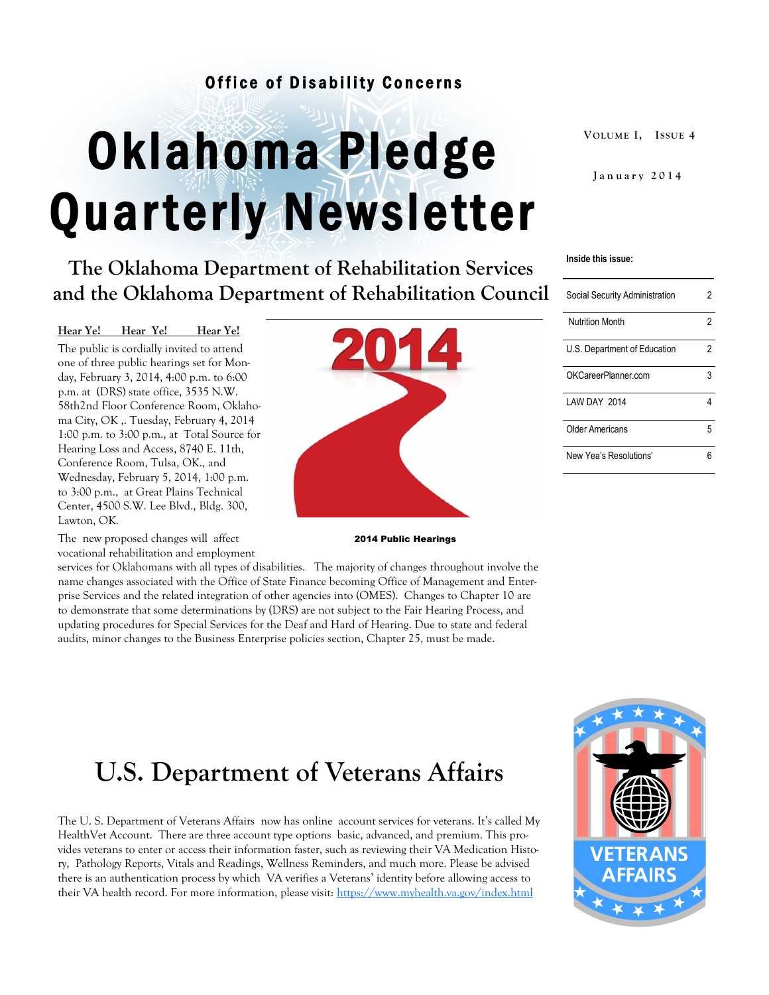#### Office of Disability Concerns

# Oklahoma Pledge Quarterly Newsletter

**The Oklahoma Department of Rehabilitation Services and the Oklahoma Department of Rehabilitation Council**

#### **Hear Ye! Hear Ye! Hear Ye!**

The public is cordially invited to attend one of three public hearings set for Monday, February 3, 2014, 4:00 p.m. to 6:00 p.m. at (DRS) state office, 3535 N.W. 58th2nd Floor Conference Room, Oklahoma City, OK ,. Tuesday, February 4, 2014 1:00 p.m. to 3:00 p.m., at Total Source for Hearing Loss and Access, 8740 E. 11th, Conference Room, Tulsa, OK., and Wednesday, February 5, 2014, 1:00 p.m. to 3:00 p.m., at Great Plains Technical Center, 4500 S.W. Lee Blvd., Bldg. 300, Lawton, OK.

The new proposed changes will affect vocational rehabilitation and employment

services for Oklahomans with all types of disabilities. The majority of changes throughout involve the name changes associated with the Office of State Finance becoming Office of Management and Enterprise Services and the related integration of other agencies into (OMES). Changes to Chapter 10 are to demonstrate that some determinations by (DRS) are not subject to the Fair Hearing Process, and updating procedures for Special Services for the Deaf and Hard of Hearing. Due to state and federal audits, minor changes to the Business Enterprise policies section, Chapter 25, must be made.

2014 Public Hearings

**U.S. Department of Veterans Affairs**

The U. S. Department of Veterans Affairs now has online account services for veterans. It's called My HealthVet Account. There are three account type options basic, advanced, and premium. This provides veterans to enter or access their information faster, such as reviewing their VA Medication History, Pathology Reports, Vitals and Readings, Wellness Reminders, and much more. Please be advised there is an authentication process by which VA verifies a Veterans' identity before allowing access to their VA health record. For more information, please visit:<https://www.myhealth.va.gov/index.html>

#### **Inside this issue:**

| Social Security Administration | 2 |
|--------------------------------|---|
| <b>Nutrition Month</b>         | 2 |
| U.S. Department of Education   | 2 |
| OKCareerPlanner.com            | 3 |
| LAW DAY 2014                   |   |
| Older Americans                | 5 |
| New Yea's Resolutions'         | հ |





**VOLUME I, I SSUE 4**

**J a n u a r y 2 0 1 4**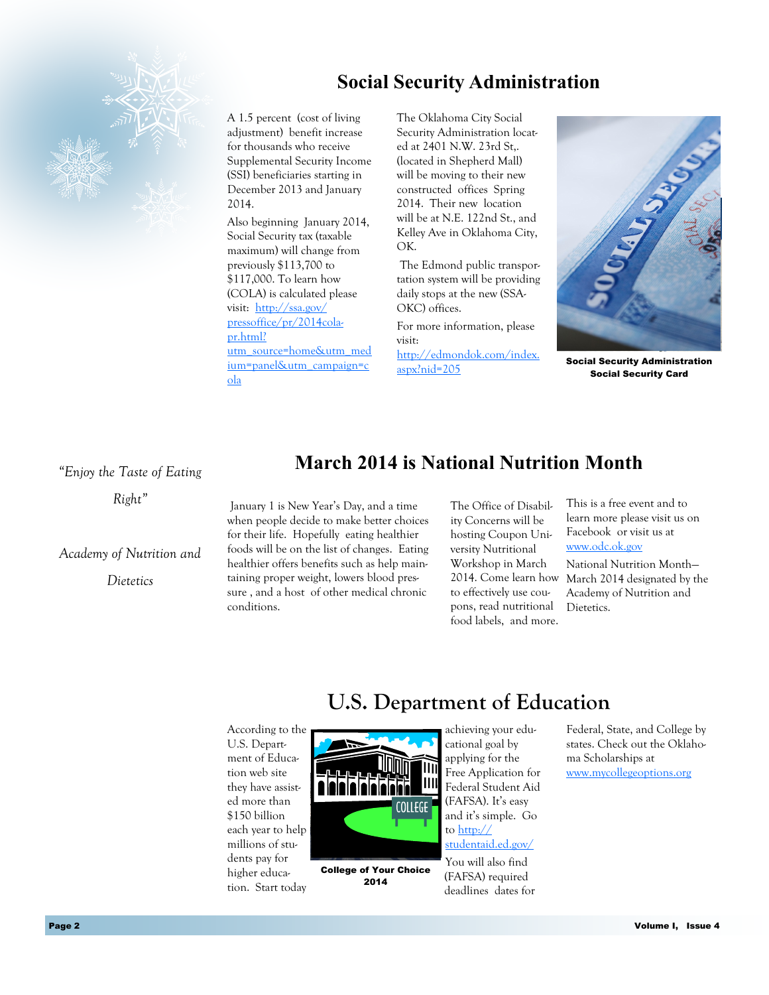# **Social Security Administration**



A 1.5 percent (cost of living adjustment) benefit increase for thousands who receive Supplemental Security Income (SSI) beneficiaries starting in December 2013 and January 2014.

Also beginning January 2014, Social Security tax (taxable maximum) will change from previously \$113,700 to \$117,000. To learn how (COLA) is calculated please visit: [http://ssa.gov/](http://ssa.gov/pressoffice/pr/2014cola-pr.html?utm_source=home&utm_medium=panel&utm_campaign=cola) [pressoffice/pr/2014cola](http://ssa.gov/pressoffice/pr/2014cola-pr.html?utm_source=home&utm_medium=panel&utm_campaign=cola)[pr.html?](http://ssa.gov/pressoffice/pr/2014cola-pr.html?utm_source=home&utm_medium=panel&utm_campaign=cola)

[utm\\_source=home&utm\\_med](http://ssa.gov/pressoffice/pr/2014cola-pr.html?utm_source=home&utm_medium=panel&utm_campaign=cola) [ium=panel&utm\\_campaign=c](http://ssa.gov/pressoffice/pr/2014cola-pr.html?utm_source=home&utm_medium=panel&utm_campaign=cola) [ola](http://ssa.gov/pressoffice/pr/2014cola-pr.html?utm_source=home&utm_medium=panel&utm_campaign=cola)

The Oklahoma City Social Security Administration located at 2401 N.W. 23rd St,. (located in Shepherd Mall) will be moving to their new constructed offices Spring 2014. Their new location will be at N.E. 122nd St., and Kelley Ave in Oklahoma City, OK.

The Edmond public transportation system will be providing daily stops at the new (SSA-OKC) offices.

For more information, please visit:

[http://edmondok.com/index.](http://edmondok.com/index.aspx?nid=205) [aspx?nid=205](http://edmondok.com/index.aspx?nid=205)



Social Security Administration Social Security Card

*"Enjoy the Taste of Eating* 

*Right"*

*Academy of Nutrition and* 

*Dietetics*

## **March 2014 is National Nutrition Month**

January 1 is New Year's Day, and a time when people decide to make better choices for their life. Hopefully eating healthier foods will be on the list of changes. Eating healthier offers benefits such as help maintaining proper weight, lowers blood pressure , and a host of other medical chronic conditions.

The Office of Disability Concerns will be hosting Coupon University Nutritional Workshop in March to effectively use coupons, read nutritional food labels, and more. This is a free event and to learn more please visit us on Facebook or visit us at [www.odc.ok.gov](http://www.odc.ok.gov) 

2014. Come learn how March 2014 designated by the National Nutrition Month— Academy of Nutrition and Dietetics.

# **U.S. Department of Education**

According to the U.S. Department of Education web site they have assisted more than \$150 billion each year to help millions of students pay for higher education. Start today



College of Your Choice 2014

achieving your educational goal by applying for the Free Application for Federal Student Aid (FAFSA). It's easy and it's simple. Go to [http://](http://studentaid.ed.gov/about) [studentaid.ed.gov/](http://studentaid.ed.gov/about)

You will also find (FAFSA) required deadlines dates for Federal, State, and College by states. Check out the Oklahoma Scholarships at [www.mycollegeoptions.org](http://www.mycollegeoptions.org)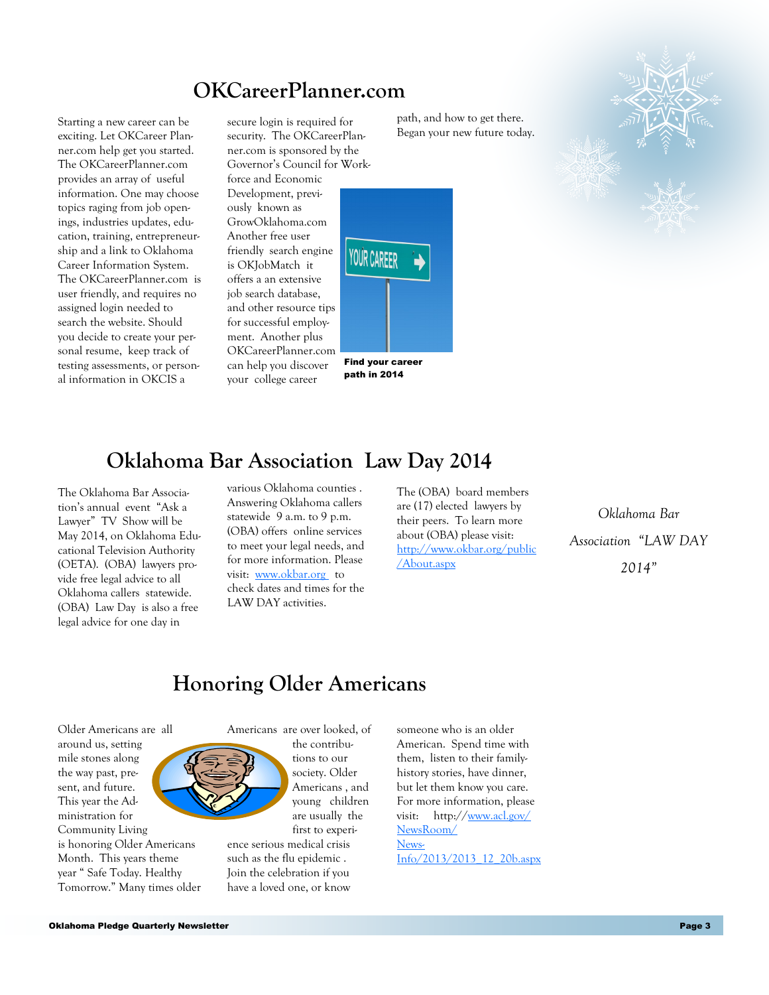# **OKCareerPlanner.com**

Starting a new career can be exciting. Let OKCareer Planner.com help get you started. The OKCareerPlanner.com provides an array of useful information. One may choose topics raging from job openings, industries updates, education, training, entrepreneurship and a link to Oklahoma Career Information System. The OKCareerPlanner.com is user friendly, and requires no assigned login needed to search the website. Should you decide to create your personal resume, keep track of testing assessments, or personal information in OKCIS a

secure login is required for security. The OKCareerPlanner.com is sponsored by the Governor's Council for Workforce and Economic Development, previously known as GrowOklahoma.com Another free user friendly search engine is OKJobMatch it offers a an extensive job search database, and other resource tips for successful employment. Another plus OKCareerPlanner.com

can help you discover your college career





path, and how to get there. Began your new future today.



## **Oklahoma Bar Association Law Day 2014**

The Oklahoma Bar Association's annual event "Ask a Lawyer" TV Show will be May 2014, on Oklahoma Educational Television Authority (OETA). (OBA) lawyers provide free legal advice to all Oklahoma callers statewide. (OBA) Law Day is also a free legal advice for one day in

various Oklahoma counties . Answering Oklahoma callers statewide 9 a.m. to 9 p.m. (OBA) offers online services to meet your legal needs, and for more information. Please visit: [www.okbar.org](http://www.okbar.org/) to check dates and times for the LAW DAY activities.

The (OBA) board members are (17) elected lawyers by their peers. To learn more about (OBA) please visit: [http://www.okbar.org/public](http://www.okbar.org/public/About.aspx) [/About.aspx](http://www.okbar.org/public/About.aspx)

*Oklahoma Bar Association "LAW DAY 2014"*

# **Honoring Older Americans**

Older Americans are all around us, setting mile stones along the way past, present, and future. This year the Administration for Community Living is honoring Older Americans Month. This years theme year " Safe Today. Healthy Tomorrow." Many times older



tions to our society. Older Americans , and

are usually the first to experience serious medical crisis such as the flu epidemic . Join the celebration if you have a loved one, or know

someone who is an older American. Spend time with them, listen to their familyhistory stories, have dinner, but let them know you care. For more information, please visit: http://[www.acl.gov/](http://www.acl.gov/NewsRoom/NewsInfo/2013/2013_12_20b.aspx) [NewsRoom/](http://www.acl.gov/NewsRoom/NewsInfo/2013/2013_12_20b.aspx) [News-](http://www.acl.gov/NewsRoom/NewsInfo/2013/2013_12_20b.aspx)[Info/2013/2013\\_12\\_20b.aspx](http://www.acl.gov/NewsRoom/NewsInfo/2013/2013_12_20b.aspx)